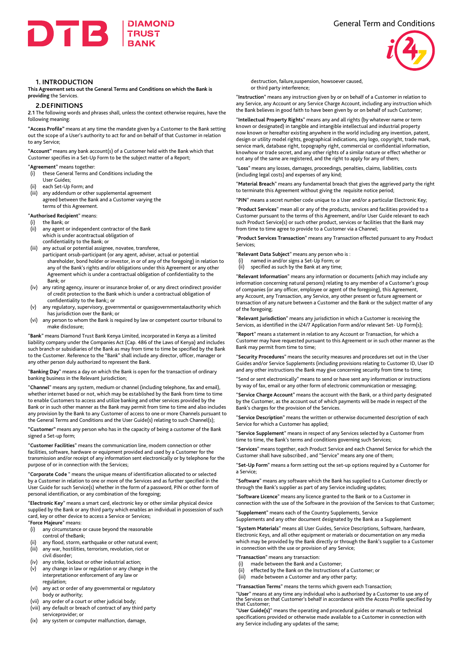



## **1. INTRODUCTION**

**This Agreement sets out the General Terms and Conditions on which the Bank is providing** the Services.

## **2.DEFINITIONS**

**2.1** The following words and phrases shall, unless the context otherwise requires, have the following meaning:

**"Access Profile"** means at any time the mandate given by a Customer to the Bank setting out the scope of a User's authority to act for and on behalf of that Customer in relation to any Service;

**"Account"** means any bank account(s) of a Customer held with the Bank which that Customer specifies in a Set-Up Form to be the subject matter of a Report;

"**Agreement**" means together:

- (i) these General Terms and Conditions including the
- User Guides; (ii) each Set-Up Form; and
- (iii) any addendum or other supplemental agreement agreed between the Bank and a Customer varying the terms of this Agreement.

"**Authorised Recipient**" means:

- the Bank; or
- (ii) any agent or independent contractor of the Bank which is under acontractual obligation of confidentiality to the Bank; or
- (iii) any actual or potential assignee, novatee, transferee, participant orsub-participant (or any agent, adviser, actual or potential shareholder, bond holder or investor, in or of any of the foregoing) in relation to any of the Bank's rights and/or obligations under this Agreement or any other Agreement which is under a contractual obligation of confidentiality to the Bank; or
- (iv) any rating agency, insurer or insurance broker of, or any direct orindirect provider of credit protection to the Bank which is under a contractual obligation of confidentiality to the Bank;; or
- (v) any regulatory, supervisory, governmental or quasigovernmentalauthority which has jurisdiction over the Bank; or
- (vi) any person to whom the Bank is required by law or competent courtor tribunal to make disclosure;

"**Bank**" means Diamond Trust Bank Kenya Limited, incorporated in Kenya as a limited liability company under the Companies Act (Cap. 486 of the Laws of Kenya) and includes such branch or subsidiaries of the Bank as may from time to time be specified by the Bank to the Customer. Reference to the "Bank" shall include any director, officer, manager or any other person duly authorized to represent the Bank.

"**Banking Day**" means a day on which the Bank is open for the transaction of ordinary banking business in the Relevant Jurisdiction;

"**Channel**" means any system, medium or channel (including telephone, fax and email), whether internet based or not, which may be established by the Bank from time to time to enable Customers to access and utilize banking and other services provided by the Bank or in such other manner as the Bank may permit from time to time and also includes any provision by the Bank to any Customer of access to one or more Channels pursuant to the General Terms and Conditions and the User Guide(s) relating to such Channel(s);

**"Customer"** means any person who has in the capacity of being a customer of the Bank signed a Set-up form;

"**Customer Facilities**" means the communication line, modem connection or other facilities, software, hardware or equipment provided and used by a Customer for the transmission and/or receipt of any information sent electronically or by telephone for the purpose of or in connection with the Services;

"**Corporate Code** " means the unique means of identification allocated to or selected by a Customer in relation to one or more of the Services and as further specified in the User Guide for such Service(s) whether in the form of a password, PIN or other form of personal identification, or any combination of the foregoing;

"**Electronic Key**" means a smart card, electronic key or other similar physical device supplied by the Bank or any third party which enables an individual in possession of such card, key or other device to access a Service or Services;

## "**Force Majeure**" means:

- (i) any circumstance or cause beyond the reasonable control of theBank;
- (ii) any flood, storm, earthquake or other natural event; (iii) any war, hostilities, terrorism, revolution, riot or
- civil disorder;
- (iv) any strike, lockout or other industrial action;
- (v) any change in law or regulation or any change in the interpretationor enforcement of any law or regulation;
- (vi) any act or order of any governmental or regulatory body or authority;
- (vii) any order of a court or other judicial body;
- (viii) any default or breach of contract of any third party serviceprovider; or
- (ix) any system or computer malfunction, damage,

destruction, failure,suspension, howsoever caused, or third party interference;

"**Instruction**" means any instruction given by or on behalf of a Customer in relation to any Service, any Account or any Service Charge Account, including any instruction which the Bank believes in good faith to have been given by or on behalf of such Customer;

"**Intellectual Property Rights**" means any and all rights (by whatever name or term known or designated) in tangible and intangible intellectual and industrial property now known or hereafter existing anywhere in the world including any invention, patent, design or utility model rights, geographical indications, any logo, copyright, trade mark, service mark, database right, topography right, commercial or confidential information, knowhow or trade secret, and any other rights of a similar nature or effect whether or not any of the same are registered, and the right to apply for any of them;

"**Loss**" means any losses, damages, proceedings, penalties, claims, liabilities, costs (including legal costs) and expenses of any kind;

"**Material Breach**" means any fundamental breach that gives the aggrieved party the right to terminate this Agreement without giving the requisite notice period;

"**PIN**" means a secret number code unique to a User and/or a particular Electronic Key;

"**Product Services**" mean all or any of the products, services and facilities provided to a Customer pursuant to the terms of this Agreement, and/or User Guide relevant to each such Product Service(s) or such other product, services or facilities that the Bank may from time to time agree to provide to a Customer via a Channel;

"**Product Services Transaction**" means any Transaction effected pursuant to any Product Services;

"**Relevant Data Subject**" means any person who is :

- (i) named in and/or signs a Set-Up Form; or
- (ii) specified as such by the Bank at any time;

"**Relevant Information**" means any information or documents (which may include any information concerning natural persons) relating to any member of a Customer's group of companies (or any officer, employee or agent of the foregoing), this Agreement, any Account, any Transaction, any Service, any other present or future agreement or transaction of any nature between a Customer and the Bank or the subject matter of any of the foregoing;

"**Relevant Jurisdiction**" means any jurisdiction in which a Customer is receiving the Services, as identified in the i24/7 Application Form and/or relevant Set- Up Form(s);

"**Report**" means a statement in relation to any Account or Transaction, for which a Customer may have requested pursuant to this Agreement or in such other manner as the Bank may permit from time to time;

"**Security Procedures**" means the security measures and procedures set out in the User Guides and/or Service Supplements (including provisions relating to Customer ID, User ID and any other instructions the Bank may give concerning security from time to time;

"Send or sent electronically" means to send or have sent any information or instructions by way of fax, email or any other form of electronic communication or messaging;

"**Service Charge Account**" means the account with the Bank, or a third party designated by the Customer, as the account out of which payments will be made in respect of the Bank's charges for the provision of the Services.

"**Service Description**" means the written or otherwise documented description of each Service for which a Customer has applied;

"**Service Supplement**" means in respect of any Services selected by a Customer from time to time, the Bank's terms and conditions governing such Services;

"**Services**" means together, each Product Service and each Channel Service for which the Customer shall have subscribed , and "Service" means any one of them;

"**Set-Up Form**" means a form setting out the set-up options required by a Customer for a Service;

"**Software**" means any software which the Bank has supplied to a Customer directly or through the Bank's supplier as part of any Service including updates;

"**Software Licence**" means any licence granted to the Bank or to a Customer in connection with the use of the Software in the provision of the Services to that Customer;

"**Supplement**" means each of the Country Supplements, Service Supplements and any other document designated by the Bank as a Supplement

"**System Materials**" means all User Guides, Service Descriptions, Software, hardware, Electronic Keys, and all other equipment or materials or documentation on any media which may be provided by the Bank directly or through the Bank's supplier to a Customer in connection with the use or provision of any Service;

- "**Transaction**" means any transaction:
- (i) made between the Bank and a Customer;
- (ii) effected by the Bank on the Instructions of a Customer; or
- (iii) made between a Customer and any other party;

"**Transaction Terms**" means the terms which govern each Transaction;

"**User**" means at any time any individual who is authorised by a Customer to use any of the Services on that Customer's behalf in accordance with the Access Profile specified by that Customer;

"**User Guide(s)**" means the operating and procedural guides or manuals or technical specifications provided or otherwise made available to a Customer in connection with any Service including any updates of the same;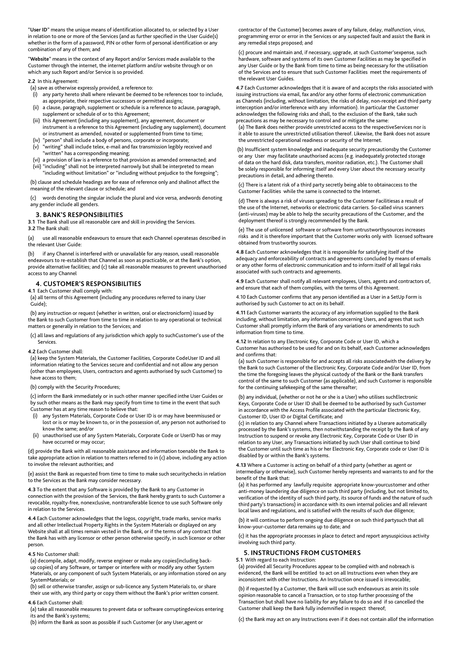"**User ID**" means the unique means of identification allocated to, or selected by a User in relation to one or more of the Services (and as further specified in the User Guide(s) whether in the form of a password, PIN or other form of personal identification or any combination of any of them; and

"**Website**" means in the context of any Report and/or Services made available to the Customer through the internet, the internet platform and/or website through or on which any such Report and/or Service is so provided.

**2.2** In this Agreement:

- (a) save as otherwise expressly provided, a reference to:
- (i) any party hereto shall where relevant be deemed to be references toor to include, as appropriate, their respective successors or permitted assigns;
- (ii) a clause, paragraph, supplement or schedule is a reference to aclause, paragraph, supplement or schedule of or to this Agreement;
- (iii) this Agreement (including any supplement), any agreement, document or instrument is a reference to this Agreement (including any supplement), document or instrument as amended, novated or supplemented from time to time;
- (iv) "person" shall include a body of persons, corporate or incorporate;
- (v) "writing" shall include telex, e-mail and fax transmission legibly received and "written" has a corresponding meaning;
- (vi) a provision of law is a reference to that provision as amended orreenacted; and (vii) "including" shall not be interpreted narrowly but shall be interpreted to mean "including without limitation" or "including without prejudice to the foregoing";

 (b) clause and schedule headings are for ease of reference only and shallnot affect the meaning of the relevant clause or schedule; and

 (c) words denoting the singular include the plural and vice versa, andwords denoting any gender include all genders.

## **3. BANK'S RESPONSIBILITIES**

**3.1** The Bank shall use all reasonable care and skill in providing the Services. **3.2** The Bank shall:

(a) use all reasonable endeavours to ensure that each Channel operatesas described in the relevant User Guide:

(b) if any Channel is interfered with or unavailable for any reason, useall reasonable endeavours to re-establish that Channel as soon as practicable, or at the Bank's option, provide alternative facilities; and (c) take all reasonable measures to prevent unauthorised access to any Channel

# **4. CUSTOMER'S RESPONSIBILITIES**

## **4.1** Each Customer shall comply with:

 (a) all terms of this Agreement (including any procedures referred to inany User Guide);

 (b) any instruction or request (whether in written, oral or electronicform) issued by the Bank to such Customer from time to time in relation to any operational or technical matters or generally in relation to the Services; and

 (c) all laws and regulations of any jurisdiction which apply to suchCustomer's use of the Services.

# **4.2** Each Customer shall:

 (a) keep the System Materials, the Customer Facilities, Corporate CodeUser ID and all information relating to the Services secure and confidential and not allow any person (other than employees, Users, contractors and agents authorised by such Customer) to have access to them;

#### (b) comply with the Security Procedures;

 (c) inform the Bank immediately or in such other manner specified inthe User Guides or by such other means as the Bank may specify from time to time in the event that such Customer has at any time reason to believe that:

- (i) any System Materials, Corporate Code or User ID is or may have beenmisused or lost or is or may be known to, or in the possession of, any person not authorised to know the same; and/or
- (ii) unauthorised use of any System Materials, Corporate Code or UserID has or may have occurred or may occur;

(d) provide the Bank with all reasonable assistance and information toenable the Bank to take appropriate action in relation to matters referred to in (c) above, including any action to involve the relevant authorities; and

(e) assist the Bank as requested from time to time to make such securitychecks in relation to the Services as the Bank may consider necessary.

**4.3** To the extent that any Software is provided by the Bank to any Customer in connection with the provision of the Services, the Bank hereby grants to such Customer a revocable, royalty-free, nonexclusive, nontransferable licence to use such Software only in relation to the Services.

**4.4** Each Customer acknowledges that the logos, copyright, trade marks, service marks and all other Intellectual Property Rights in the System Materials or displayed on any Website shall at all times remain vested in the Bank, or if the terms of any contract that the Bank has with any licensor or other person otherwise specify, in such licensor or other person.

#### **4.5** No Customer shall:

 (a) decompile, adapt, modify, reverse engineer or make any copies(including back up copies) of any Software, or tamper or interfere with or modify any other System Materials, or any component of such System Materials, or any information stored on any SystemMaterials; or

 (b) sell or otherwise transfer, assign or sub-licence any System Materials to, or share their use with, any third party or copy them without the Bank's prior written consent. **4.6** Each Customer shall:

 (a) take all reasonable measures to prevent data or software corruptingdevices entering its and the Bank's systems;

(b) inform the Bank as soon as possible if such Customer (or any User,agent or

 contractor of the Customer) becomes aware of any failure, delay, malfunction, virus, programming error or error in the Services or any suspected fault and assist the Bank in any remedial steps proposed; and

 (c) procure and maintain and, if necessary, upgrade, at such Customer'sexpense, such hardware, software and systems of its own Customer Facilities as may be specified in any User Guide or by the Bank from time to time as being necessary for the utilisation of the Services and to ensure that such Customer Facilities meet the requirements of the relevant User Guides.

**4.7** Each Customer acknowledges that it is aware of and accepts the risks associated with issuing instructions via email, fax and/or any other forms of electronic communication as Channels (including, without limitation, the risks of delay, non-receipt and third party interception and/or interference with any information). In particular the Customer acknowledges the following risks and shall, to the exclusion of the Bank, take such precautions as may be necessary to control and or mitigate the same:

 (a) The Bank does neither provide unrestricted access to the respectiveServices nor is it able to assure the unrestricted utilisation thereof. Likewise, the Bank does not assure the unrestricted operational readiness or security of the Internet.

(b) Insufficient system knowledge and inadequate security precautionsby the Customer or any User may facilitate unauthorised access (e.g. inadequately protected storage of data on the hard disk, data transfers, monitor radiation, etc.). The Customer shall be solely responsible for informing itself and every User about the necessary security precautions in detail, and adhering thereto.

 (c) There is a latent risk of a third party secretly being able to obtainaccess to the Customer Facilities while the same is connected to the Internet.

 (d) There is always a risk of viruses spreading to the Customer Facilitiesas a result of the use of the Internet, networks or electronic data carriers. So-called virus scanners (anti-viruses) may be able to help the security precautions of the Customer, and the deployment thereof is strongly recommended by the Bank.

 (e) The use of unlicensed software or software from untrustworthysources increases risks and it is therefore important that the Customer works only with licensed software obtained from trustworthy sources.

**4.8** Each Customer acknowledges that it is responsible for satisfying itself of the adequacy and enforceability of contracts and agreements concluded by means of emails or any other forms of electronic communication and to inform itself of all legal risks associated with such contracts and agreements.

**4.9** Each Customer shall notify all relevant employees, Users, agents and contractors of, and ensure that each of them complies, with the terms of this Agreement.

4.10 Each Customer confirms that any person identified as a User in a SetUp Form is authorised by such Customer to act on its behalf.

**4.11** Each Customer warrants the accuracy of any information supplied to the Bank including, without limitation, any information concerning Users, and agrees that such Customer shall promptly inform the Bank of any variations or amendments to such information from time to time.

**4.12** In relation to any Electronic Key, Corporate Code or User ID, which a Customer has authorised to be used for and on its behalf, each Customer acknowledges and confirms that:

 (a) such Customer is responsible for and accepts all risks associatedwith the delivery by the Bank to such Customer of the Electronic Key, Corporate Code and/or User ID, from the time the foregoing leaves the physical custody of the Bank or the Bank transfers control of the same to such Customer (as applicable), and such Customer is responsible for the continuing safekeeping of the same thereafter;

 (b) any individual, (whether or not he or she is a User) who utilises suchElectronic Keys, Corporate Code or User ID shall be deemed to be authorised by such Customer in accordance with the Access Profile associated with the particular Electronic Key, Customer ID, User ID or Digital Certificate; and

 (c) in relation to any Channel where Transactions initiated by a Userare automatically processed by the Bank's systems, then notwithstanding the receipt by the Bank of any Instruction to suspend or revoke any Electronic Key, Corporate Code or User ID in relation to any User, any Transactions initiated by such User shall continue to bind the Customer until such time as his or her Electronic Key, Corporate code or User ID is disabled by or within the Bank's systems.

**4.13** Where a Customer is acting on behalf of a third party (whether as agent or intermediary or otherwise), such Customer hereby represents and warrants to and for the benefit of the Bank that:

 (a) it has performed any lawfully requisite appropriate know-yourcustomer and other anti-money laundering due diligence on such third party (including, but not limited to, verification of the identity of such third party, its source of funds and the nature of such third party's transactions) in accordance with its own internal policies and all relevant local laws and regulations, and is satisfied with the results of such due diligence;

 (b) it will continue to perform ongoing due diligence on such third partysuch that all know-your-customer data remains up to date; and

 (c) it has the appropriate processes in place to detect and report anysuspicious activity involving such third party.

# **5. INSTRUCTIONS FROM CUSTOMERS**

#### **5.1** With regard to each Instruction:

 (a) provided all Security Procedures appear to be complied with and nobreach is evidenced, the Bank will be entitled to act on all Instructions even when they are inconsistent with other Instructions. An Instruction once issued is irrevocable;

 (b) if requested by a Customer, the Bank will use such endeavours as arein its sole opinion reasonable to cancel a Transaction, or to stop further processing of the Transaction but shall have no liability for any failure to do so and if so cancelled the Customer shall keep the Bank fully indemnified in respect thereof;

(c) the Bank may act on any Instructions even if it does not contain allof the information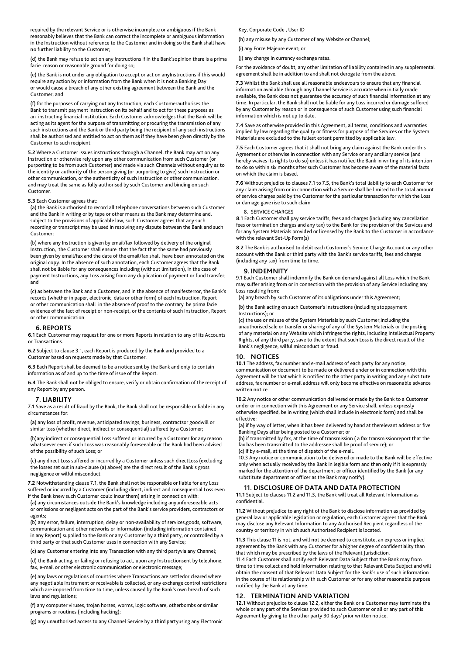required by the relevant Service or is otherwise incomplete or ambiguous if the Bank reasonably believes that the Bank can correct the incomplete or ambiguous information in the Instruction without reference to the Customer and in doing so the Bank shall have no further liability to the Customer;

 (d) the Bank may refuse to act on any Instructions if in the Bank'sopinion there is a prima facie reason or reasonable ground for doing so;

(e) the Bank is not under any obligation to accept or act on any Instructions if this would require any action by or information from the Bank when it is not a Banking Day or would cause a breach of any other existing agreement between the Bank and the Customer; and

 (f) for the purposes of carrying out any Instruction, each Customerauthorises the Bank to transmit payment instruction on its behalf and to act for these purposes as an instructing financial institution. Each Customer acknowledges that the Bank will be acting as its agent for the purpose of transmitting or procuring the transmission of any such instructions and the Bank or third party being the recipient of any such instructions shall be authorised and entitled to act on them as if they have been given directly by the Customer to such recipient.

**5.2** Where a Customer issues instructions through a Channel, the Bank may act on any Instruction or otherwise rely upon any other communication from such Customer (or purporting to be from such Customer) and made via such Channels without enquiry as to the identity or authority of the person giving (or purporting to give) such Instruction or other communication, or the authenticity of such Instruction or other communication, and may treat the same as fully authorised by such Customer and binding on such Customer.

## **5.3** Each Customer agrees that:

 (a) the Bank is authorised to record all telephone conversations between such Customer and the Bank in writing or by tape or other means as the Bank may determine and, subject to the provisions of applicable law, such Customer agrees that any such recording or transcript may be used in resolving any dispute between the Bank and such Customer;

 (b) where any Instruction is given by email/fax followed by delivery of the original Instruction, the Customer shall ensure that the fact that the same had previously been given by email/fax and the date of the email/fax shall have been annotated on the original copy. In the absence of such annotation, each Customer agrees that the Bank shall not be liable for any consequences including (without limitation), in the case of payment Instructions, any Loss arising from any duplication of payment or fund transfer; and

 (c) as between the Bank and a Customer, and in the absence of manifesterror, the Bank's records (whether in paper, electronic, data or other form) of each Instruction, Report or other communication shall in the absence of proof to the contrary be prima facie evidence of the fact of receipt or non-receipt, or the contents of such Instruction, Report or other communication.

#### **6. REPORTS**

**6.1** Each Customer may request for one or more Reports in relation to any of its Accounts or Transactions.

**6.2** Subject to clause 3.1, each Report is produced by the Bank and provided to a Customer based on requests made by that Custome

**6.3** Each Report shall be deemed to be a notice sent by the Bank and only to contain information as of and up to the time of issue of the Report.

**6.4** The Bank shall not be obliged to ensure, verify or obtain confirmation of the receipt of any Report by any person.

### **7. LIABILITY**

**7.1** Save as a result of fraud by the Bank, the Bank shall not be responsible or liable in any circumstances for:

 (a) any loss of profit, revenue, anticipated savings, business, contractsor goodwill or similar loss (whether direct, indirect or consequential) suffered by a Customer;

 (b)any indirect or consequential Loss suffered or incurred by a Customer for any reason whatsoever even if such Loss was reasonably foreseeable or the Bank had been advised of the possibility of such Loss; or

 (c) any direct Loss suffered or incurred by a Customer unless such directLoss (excluding the losses set out in sub-clause (a) above) are the direct result of the Bank's gross negligence or wilful misconduct.

**7.2** Notwithstanding clause 7.1, the Bank shall not be responsible or liable for any Loss suffered or incurred by a Customer (including direct, indirect and consequential Loss even if the Bank knew such Customer could incur them) arising in connection with:

 (a) any circumstances outside the Bank's knowledge including anyunforeseeable acts or omissions or negligent acts on the part of the Bank's service providers, contractors or agents;

 (b) any error, failure, interruption, delay or non-availability of services,goods, software, communication and other networks or information (including information contained in any Report) supplied to the Bank or any Customer by a third party, or controlled by a third party or that such Customer uses in connection with any Service;

(c) any Customer entering into any Transaction with any third partyvia any Channel;

 (d) the Bank acting, or failing or refusing to act, upon any Instructionsent by telephone, fax, e-mail or other electronic communication or electronic message

 (e) any laws or regulations of countries where Transactions are settledor cleared where any negotiable instrument or receivable is collected, or any exchange control restrictions which are imposed from time to time, unless caused by the Bank's own breach of such laws and regulations;

 (f) any computer viruses, trojan horses, worms, logic software, otherbombs or similar programs or routines (including hacking);

(g) any unauthorised access to any Channel Service by a third partyusing any Electronic

## Key, Corporate Code , User ID

(h) any misuse by any Customer of any Website or Channel;

(i) any Force Majeure event; or

(j) any change in currency exchange rates.

For the avoidance of doubt, any other limitation of liability contained in any supplemental agreement shall be in addition to and shall not derogate from the above.

**7.3** Whilst the Bank shall use all reasonable endeavours to ensure that any financial information available through any Channel Service is accurate when initially made available, the Bank does not guarantee the accuracy of such financial information at any time. In particular, the Bank shall not be liable for any Loss incurred or damage suffered by any Customer by reason or in consequence of such Customer using such financial information which is not up to date.

**7.4** Save as otherwise provided in this Agreement, all terms, conditions and warranties implied by law regarding the quality or fitness for purpose of the Services or the System Materials are excluded to the fullest extent permitted by applicable law.

**7.5** Each Customer agrees that it shall not bring any claim against the Bank under this Agreement or otherwise in connection with any Service or any ancillary service (and hereby waives its rights to do so) unless it has notified the Bank in writing of its intention to do so within six months after such Customer has become aware of the material facts on which the claim is based.

**7.6** Without prejudice to clauses 7.1 to 7.5, the Bank's total liability to each Customer for any claim arising from or in connection with a Service shall be limited to the total amount of service charges paid by the Customer for the particular transaction for which the Loss or damage gave rise to such claim

#### 8. SERVICE CHARGES

**8.1** Each Customer shall pay service tariffs, fees and charges (including any cancellation fees or termination charges and any tax) to the Bank for the provision of the Services and for any System Materials provided or licensed by the Bank to the Customer in accordance with the relevant Set-Up Form(s)

**8.2** The Bank is authorised to debit each Customer's Service Charge Account or any other account with the Bank or third party with the Bank's service tariffs, fees and charges (including any tax) from time to time.

#### **9. INDEMNITY**

9.1 Each Customer shall indemnify the Bank on demand against all Loss which the Bank may suffer arising from or in connection with the provision of any Service including any Loss resulting from:

(a) any breach by such Customer of its obligations under this Agreement;

 (b) the Bank acting on such Customer's Instructions (including stoppayment Instructions); or

 (c) the use or misuse of the System Materials by such Customer,including the unauthorised sale or transfer or sharing of any of the System Materials or the posting of any material on any Website which infringes the rights, including Intellectual Property Rights, of any third party, save to the extent that such Loss is the direct result of the Bank's negligence, wilful misconduct or fraud.

## **10. NOTICES**

**10.1** The address, fax number and e-mail address of each party for any notice, communication or document to be made or delivered under or in connection with this Agreement will be that which is notified to the other party in writing and any substitute address, fax number or e-mail address will only become effective on reasonable advance written notice.

**10.2** Any notice or other communication delivered or made by the Bank to a Customer under or in connection with this Agreement or any Service shall, unless expressly otherwise specified, be in writing (which shall include in electronic form) and shall be effective:

 (a) if by way of letter, when it has been delivered by hand at therelevant address or five Banking Days after being posted to a Customer; or

 (b) if transmitted by fax, at the time of transmission ( a fax transmissionreport that the fax has been transmitted to the addressee shall be proof of service); or (c) if by e-mail, at the time of dispatch of the e-mail.

 10.3 Any notice or communication to be delivered or made to the Bank will be effective only when actually received by the Bank in legible form and then only if it is expressly marked for the attention of the department or officer identified by the Bank (or any substitute department or officer as the Bank may notify).

## **11. DISCLOSURE OF DATA AND DATA PROTECTION**

**11.1** Subject to clauses 11.2 and 11.3, the Bank will treat all Relevant Information as confidential.

**11.2** Without prejudice to any right of the Bank to disclose information as provided by general law or applicable legislation or regulation, each Customer agrees that the Bank may disclose any Relevant Information to any Authorised Recipient regardless of the country or territory in which such Authorised Recipient is located.

**11.3** This clause 11 is not, and will not be deemed to constitute, an express or implied agreement by the Bank with any Customer for a higher degree of confidentiality than that which may be prescribed by the laws of the Relevant Jurisdiction.

11.4 Each Customer shall notify each Relevant Data Subject that the Bank may from time to time collect and hold information relating to that Relevant Data Subject and will obtain the consent of that Relevant Data Subject for the Bank's use of such information in the course of its relationship with such Customer or for any other reasonable purpose notified by the Bank at any time.

## **12. TERMINATION AND VARIATION**

**12.1** Without prejudice to clause 12.2, either the Bank or a Customer may terminate the whole or any part of the Services provided to such Customer or all or any part of this Agreement by giving to the other party 30 days' prior written notice.